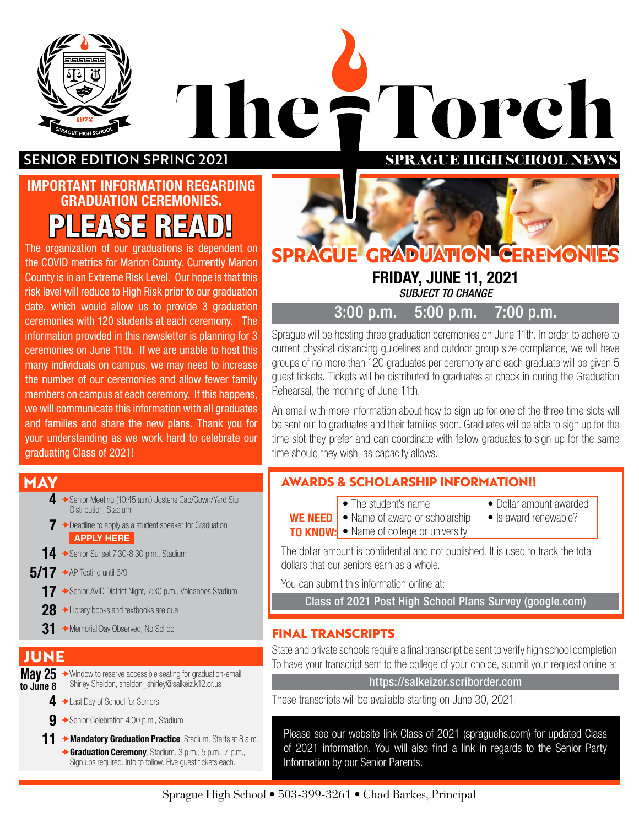

# FTorch he? H **SPRAGUE HIGH SCHOOL NEW**

#### SENIOR EDITION SPRING 2021

# IMPORTANT INFORMATION REGARDING GRADUATION CEREMONIES.  $\mathcal{S}$ E

The organization of our graduations is dependent on the COVID metrics for Marion County. Currently Marion County is in an Extreme Risk Level. Our hope is that this risk level will reduce to High Risk prior to our graduation date, which would allow us to provide 3 graduation ceremonies with 120 students at each ceremony. The information provided in this newsletter is planning for 3 ceremonies on June 11th. If we are unable to host this many individuals on campus, we may need to increase the number of our ceremonies and allow fewer family members on campus at each ceremony. If this happens, we will communicate this information with all graduates and families and share the new plans. Thank you for your understanding as we work hard to celebrate our graduating Class of 2021!

#### **MAY**

- **4** → Senior Meeting (10:45 a.m.) Jostens Cap/Gown/Yard Sign Distribution, Stadium
- $7 \rightarrow$  Deadline to apply as a student speaker for Graduation [APPLY HERE](https://docs.google.com/forms/d/e/1FAIpQLScSu1iWtbjuEH9llVqIb8lcaN8az4y-aZ6aYlkHu6FmukPjlQ/viewform?usp=pp_url)
- **14** → Senior Sunset 7:30-8:30 p.m., Stadium
- $5/17$   $\rightarrow$  AP Testing until 6/9
	- 17 Senior AVID District Night, 7:30 p.m., Volcanoes Stadium
	- 28 → Library books and textbooks are due
	- $31$   $\rightarrow$  Memorial Day Observed, No School

### **JUNE**

- **May 25**  $\rightarrow$  Window to reserve accessible seating for graduation-email to June 8 Shirley Sheldon, sheldon\_shirley@salkeiz.k12.or.us
	- 4 Last Day of School for Seniors
	- **9** → Senior Celebration 4:00 p.m., Stadium
	- 11 **+ Mandatory Graduation Practice**, Stadium. Starts at 8 a.m. ◆ Graduation Ceremony, Stadium. 3 p.m.; 5 p.m.; 7 p.m., Sign ups required. Info to follow. Five guest tickets each.



### FRIDAY, JUNE 11, 2021

*SUBJECT TO CHANGE*

3:00 p.m. 5:00 p.m. 7:00 p.m.

Sprague will be hosting three graduation ceremonies on June 11th. In order to adhere to current physical distancing guidelines and outdoor group size compliance, we will have groups of no more than 120 graduates per ceremony and each graduate will be given 5 guest tickets. Tickets will be distributed to graduates at check in during the Graduation Rehearsal, the morning of June 11th.

An email with more information about how to sign up for one of the three time slots will be sent out to graduates and their families soon. Graduates will be able to sign up for the time slot they prefer and can coordinate with fellow graduates to sign up for the same time should they wish, as capacity allows.

#### **AWARDS & SCHOLARSHIP INFORMATION!!**

- 
- The student's name Dollar amount awarded
- **WE NEED** Name of award or scholarship Is award renewable?
- **TO KNOW:** Name of college or university
- 

The dollar amount is confidential and not published. It is used to track the total dollars that our seniors earn as a whole.

You can submit this information online at:

[Class of 2021 Post High School Plans Survey \(google.com\)](https://docs.google.com/forms/d/e/1FAIpQLSc_EZTZhDmku0hjJV5XBPfp1xoEMIS2DYZRflrensgCNfd_IA/viewform)

#### **FINAL TRANSCRIPTS**

State and private schools require a final transcript be sent to verify high school completion. To have your transcript sent to the college of your choice, submit your request online at:

https://salkeizor.scriborder.com

These transcripts will be available starting on June 30, 2021.

Please see our website link Class of 2021 (spraguehs.com) for updated Class of 2021 information. You will also find a link in regards to the Senior Party Information by our Senior Parents.

#### Sprague High School • 503-399-3261 • Chad Barkes, Principal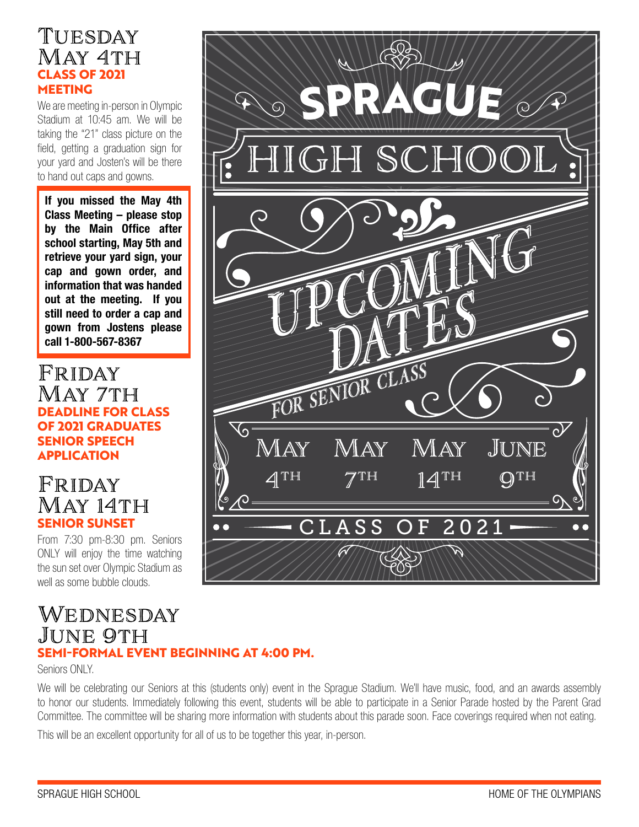### Tuesday May 4th **CLASS OF 2021 MEETING**

We are meeting in-person in Olympic Stadium at 10:45 am. We will be taking the "21" class picture on the field, getting a graduation sign for your yard and Josten's will be there to hand out caps and gowns.

If you missed the May 4th Class Meeting – please stop by the Main Office after school starting, May 5th and retrieve your yard sign, your cap and gown order, and information that was handed out at the meeting. If you still need to order a cap and gown from Jostens please call 1-800-567-8367

Friday May 7th **DEADLINE FOR CLASS OF 2021 GRADUATES SENIOR SPEECH APPLICATION**

### Friday May 14th **SENIOR SUNSET**

From 7:30 pm-8:30 pm. Seniors ONLY will enjoy the time watching the sun set over Olympic Stadium as well as some bubble clouds.

## Wednesday JUNE 9TH **SEMI-FORMAL EVENT BEGINNING AT 4:00 PM.**

Seniors ONLY.

We will be celebrating our Seniors at this (students only) event in the Sprague Stadium. We'll have music, food, and an awards assembly to honor our students. Immediately following this event, students will be able to participate in a Senior Parade hosted by the Parent Grad Committee. The committee will be sharing more information with students about this parade soon. Face coverings required when not eating.

This will be an excellent opportunity for all of us to be together this year, in-person.

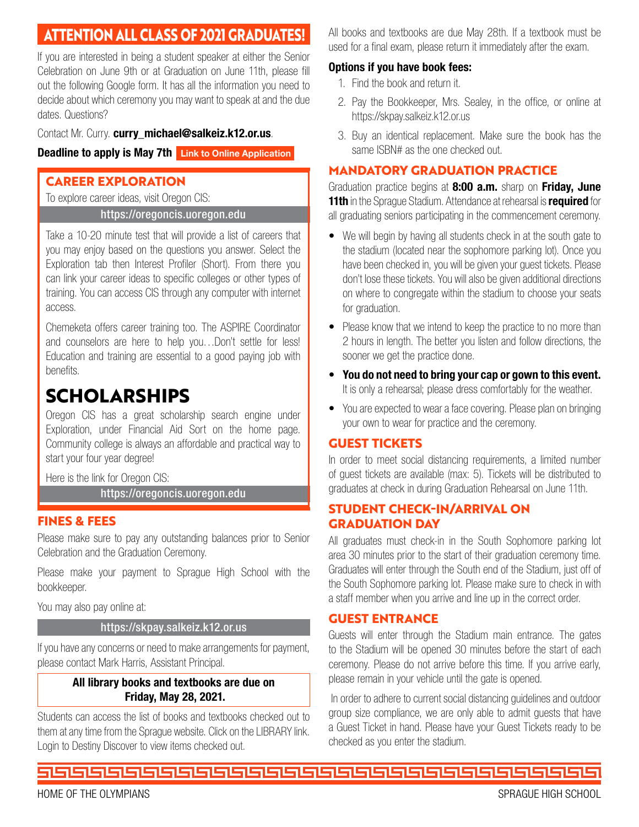# **ATTENTION ALL CLASS OF 2021 GRADUATES!**

If you are interested in being a student speaker at either the Senior Celebration on June 9th or at Graduation on June 11th, please fill out the following Google form. It has all the information you need to decide about which ceremony you may want to speak at and the due dates. Questions?

#### Contact Mr. Curry. curry michael@salkeiz.k12.or.us.

#### Deadline to apply is May 7th [Link to Online Application](https://docs.google.com/forms/d/e/1FAIpQLScSu1iWtbjuEH9llVqIb8lcaN8az4y-aZ6aYlkHu6FmukPjlQ/viewform?usp=pp_url)

#### **CAREER EXPLORATION**

To explore career ideas, visit Oregon CIS:

#### https://oregoncis.uoregon.edu

Take a 10-20 minute test that will provide a list of careers that you may enjoy based on the questions you answer. Select the Exploration tab then Interest Profiler (Short). From there you can link your career ideas to specific colleges or other types of training. You can access CIS through any computer with internet access.

Chemeketa offers career training too. The ASPIRE Coordinator and counselors are here to help you…Don't settle for less! Education and training are essential to a good paying job with benefits.

# **SCHOLARSHIPS**

Oregon CIS has a great scholarship search engine under Exploration, under Financial Aid Sort on the home page. Community college is always an affordable and practical way to start your four year degree!

Here is the link for Oregon CIS:

https://oregoncis.uoregon.edu

#### **FINES & FEES**

Please make sure to pay any outstanding balances prior to Senior Celebration and the Graduation Ceremony.

Please make your payment to Sprague High School with the bookkeeper.

You may also pay online at:

#### https://skpay.salkeiz.k12.or.us

If you have any concerns or need to make arrangements for payment, please contact Mark Harris, Assistant Principal.

#### All library books and textbooks are due on Friday, May 28, 2021.

Students can access the list of books and textbooks checked out to them at any time from the Sprague website. Click on the LIBRARY link. Login to Destiny Discover to view items checked out.

All books and textbooks are due May 28th. If a textbook must be used for a final exam, please return it immediately after the exam.

#### Options if you have book fees:

- 1. Find the book and return it.
- 2. Pay the Bookkeeper, Mrs. Sealey, in the office, or online at https://skpay.salkeiz.k12.or.us
- 3. Buy an identical replacement. Make sure the book has the same ISBN# as the one checked out.

#### **MANDATORY GRADUATION PRACTICE**

Graduation practice begins at 8:00 a.m. sharp on Friday, June 11th in the Sprague Stadium. Attendance at rehearsal is **required** for all graduating seniors participating in the commencement ceremony.

- We will begin by having all students check in at the south gate to the stadium (located near the sophomore parking lot). Once you have been checked in, you will be given your guest tickets. Please don't lose these tickets. You will also be given additional directions on where to congregate within the stadium to choose your seats for graduation.
- Please know that we intend to keep the practice to no more than 2 hours in length. The better you listen and follow directions, the sooner we get the practice done.
- You do not need to bring your cap or gown to this event. It is only a rehearsal; please dress comfortably for the weather.
- You are expected to wear a face covering. Please plan on bringing your own to wear for practice and the ceremony.

#### **GUEST TICKETS**

In order to meet social distancing requirements, a limited number of guest tickets are available (max: 5). Tickets will be distributed to graduates at check in during Graduation Rehearsal on June 11th.

#### **STUDENT CHECK-IN/ARRIVAL ON GRADUATION DAY**

All graduates must check-in in the South Sophomore parking lot area 30 minutes prior to the start of their graduation ceremony time. Graduates will enter through the South end of the Stadium, just off of the South Sophomore parking lot. Please make sure to check in with a staff member when you arrive and line up in the correct order.

#### **GUEST ENTRANCE**

Guests will enter through the Stadium main entrance. The gates to the Stadium will be opened 30 minutes before the start of each ceremony. Please do not arrive before this time. If you arrive early, please remain in your vehicle until the gate is opened.

 In order to adhere to current social distancing guidelines and outdoor group size compliance, we are only able to admit guests that have a Guest Ticket in hand. Please have your Guest Tickets ready to be checked as you enter the stadium.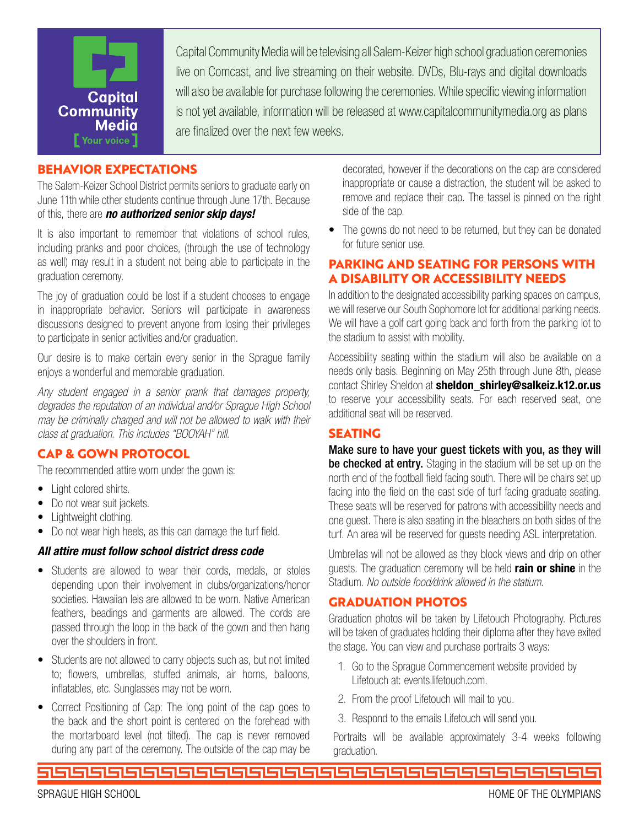

Capital Community Media will be televising all Salem-Keizer high school graduation ceremonies live on Comcast, and live streaming on their website. DVDs, Blu-rays and digital downloads will also be available for purchase following the ceremonies. While specific viewing information is not yet available, information will be released at www.capitalcommunitymedia.org as plans are finalized over the next few weeks.

#### **BEHAVIOR EXPECTATIONS**

The Salem-Keizer School District permits seniors to graduate early on June 11th while other students continue through June 17th. Because of this, there are *no authorized senior skip days!*

It is also important to remember that violations of school rules, including pranks and poor choices, (through the use of technology as well) may result in a student not being able to participate in the graduation ceremony.

The joy of graduation could be lost if a student chooses to engage in inappropriate behavior. Seniors will participate in awareness discussions designed to prevent anyone from losing their privileges to participate in senior activities and/or graduation.

Our desire is to make certain every senior in the Sprague family enjoys a wonderful and memorable graduation.

*Any student engaged in a senior prank that damages property, degrades the reputation of an individual and/or Sprague High School may be criminally charged and will not be allowed to walk with their class at graduation. This includes "BOOYAH" hill.*

#### **CAP & GOWN PROTOCOL**

The recommended attire worn under the gown is:

- Light colored shirts.
- Do not wear suit jackets.
- Lightweight clothing.
- Do not wear high heels, as this can damage the turf field.

#### *All attire must follow school district dress code*

- Students are allowed to wear their cords, medals, or stoles depending upon their involvement in clubs/organizations/honor societies. Hawaiian leis are allowed to be worn. Native American feathers, beadings and garments are allowed. The cords are passed through the loop in the back of the gown and then hang over the shoulders in front.
- Students are not allowed to carry objects such as, but not limited to; flowers, umbrellas, stuffed animals, air horns, balloons, inflatables, etc. Sunglasses may not be worn.
- Correct Positioning of Cap: The long point of the cap goes to the back and the short point is centered on the forehead with the mortarboard level (not tilted). The cap is never removed during any part of the ceremony. The outside of the cap may be

decorated, however if the decorations on the cap are considered inappropriate or cause a distraction, the student will be asked to remove and replace their cap. The tassel is pinned on the right side of the cap.

• The gowns do not need to be returned, but they can be donated for future senior use.

#### **PARKING AND SEATING FOR PERSONS WITH A DISABILITY OR ACCESSIBILITY NEEDS**

In addition to the designated accessibility parking spaces on campus, we will reserve our South Sophomore lot for additional parking needs. We will have a golf cart going back and forth from the parking lot to the stadium to assist with mobility.

Accessibility seating within the stadium will also be available on a needs only basis. Beginning on May 25th through June 8th, please contact Shirley Sheldon at sheldon shirley@salkeiz.k12.or.us to reserve your accessibility seats. For each reserved seat, one additional seat will be reserved.

#### **SEATING**

Make sure to have your guest tickets with you, as they will be checked at entry. Staging in the stadium will be set up on the north end of the football field facing south. There will be chairs set up facing into the field on the east side of turf facing graduate seating. These seats will be reserved for patrons with accessibility needs and one guest. There is also seating in the bleachers on both sides of the turf. An area will be reserved for guests needing ASL interpretation.

Umbrellas will not be allowed as they block views and drip on other guests. The graduation ceremony will be held rain or shine in the Stadium. *No outside food/drink allowed in the statium.*

#### **GRADUATION PHOTOS**

Graduation photos will be taken by Lifetouch Photography. Pictures will be taken of graduates holding their diploma after they have exited the stage. You can view and purchase portraits 3 ways:

- 1. Go to the Sprague Commencement website provided by Lifetouch at: events.lifetouch.com.
- 2. From the proof Lifetouch will mail to you.
- 3. Respond to the emails Lifetouch will send you.

Portraits will be available approximately 3-4 weeks following graduation.

ككككككككككككككككككككككك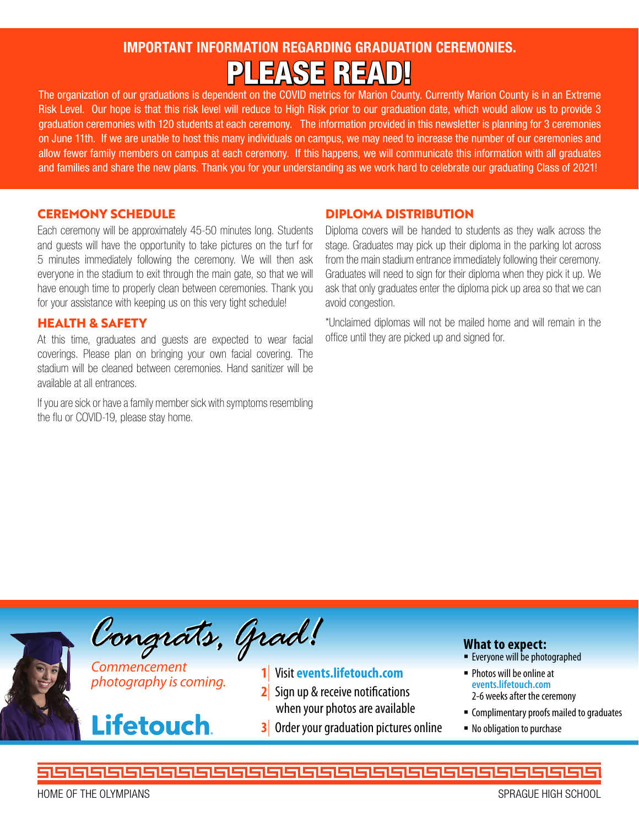# IMPORTANT INFORMATION REGARDING GRADUATION CEREMONIES. PLEASE READ!

The organization of our graduations is dependent on the COVID metrics for Marion County. Currently Marion County is in an Extreme Risk Level. Our hope is that this risk level will reduce to High Risk prior to our graduation date, which would allow us to provide 3 graduation ceremonies with 120 students at each ceremony. The information provided in this newsletter is planning for 3 ceremonies on June 11th. If we are unable to host this many individuals on campus, we may need to increase the number of our ceremonies and allow fewer family members on campus at each ceremony. If this happens, we will communicate this information with all graduates and families and share the new plans. Thank you for your understanding as we work hard to celebrate our graduating Class of 2021!

#### **CEREMONY SCHEDULE**

Each ceremony will be approximately 45-50 minutes long. Students and guests will have the opportunity to take pictures on the turf for 5 minutes immediately following the ceremony. We will then ask everyone in the stadium to exit through the main gate, so that we will have enough time to properly clean between ceremonies. Thank you for your assistance with keeping us on this very tight schedule!

#### **HEALTH & SAFETY**

At this time, graduates and guests are expected to wear facial coverings. Please plan on bringing your own facial covering. The stadium will be cleaned between ceremonies. Hand sanitizer will be available at all entrances.

If you are sick or have a family member sick with symptoms resembling the flu or COVID-19, please stay home.

#### **DIPLOMA DISTRIBUTION**

Diploma covers will be handed to students as they walk across the stage. Graduates may pick up their diploma in the parking lot across from the main stadium entrance immediately following their ceremony. Graduates will need to sign for their diploma when they pick it up. We ask that only graduates enter the diploma pick up area so that we can avoid congestion.

\*Unclaimed diplomas will not be mailed home and will remain in the office until they are picked up and signed for.



<u> 153522525252525</u>

HOME OF THE OLYMPIANS SPRAGUE HIGH SCHOOL